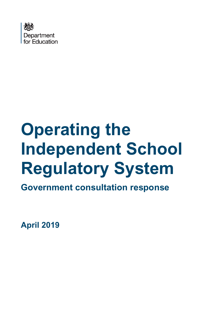

# **Operating the Independent School Regulatory System**

**Government consultation response**

**April 2019**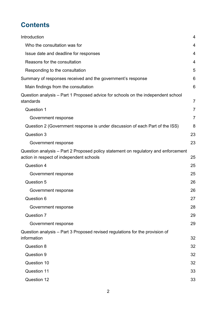# **Contents**

| Introduction                                                                                                                   | $\overline{4}$ |
|--------------------------------------------------------------------------------------------------------------------------------|----------------|
| Who the consultation was for                                                                                                   | 4              |
| Issue date and deadline for responses                                                                                          | 4              |
| Reasons for the consultation                                                                                                   | 4              |
| Responding to the consultation                                                                                                 | 5              |
| Summary of responses received and the government's response                                                                    | 6              |
| Main findings from the consultation                                                                                            | 6              |
| Question analysis – Part 1 Proposed advice for schools on the independent school<br>standards                                  | 7              |
| Question 1                                                                                                                     | 7              |
| Government response                                                                                                            | $\overline{7}$ |
| Question 2 (Government response is under discussion of each Part of the ISS)                                                   | 8              |
| Question 3                                                                                                                     | 23             |
| Government response                                                                                                            | 23             |
| Question analysis - Part 2 Proposed policy statement on regulatory and enforcement<br>action in respect of independent schools | 25             |
| Question 4                                                                                                                     | 25             |
| Government response                                                                                                            | 25             |
| Question 5                                                                                                                     | 26             |
| Government response                                                                                                            | 26             |
| Question 6                                                                                                                     | 27             |
| Government response                                                                                                            | 28             |
| Question 7                                                                                                                     | 29             |
| Government response                                                                                                            | 29             |
| Question analysis – Part 3 Proposed revised regulations for the provision of<br>information                                    | 32             |
| Question 8                                                                                                                     | 32             |
| Question 9                                                                                                                     | 32             |
| Question 10                                                                                                                    | 32             |
| <b>Question 11</b>                                                                                                             | 33             |
| <b>Question 12</b>                                                                                                             | 33             |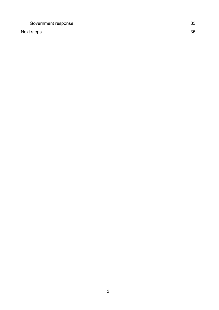[Government response](#page-32-2) 33

[Next steps](#page-34-0) 35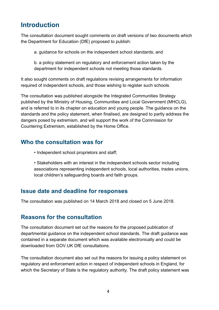# <span id="page-3-0"></span>**Introduction**

The consultation document sought comments on draft versions of two documents which the Department for Education (DfE) proposed to publish:

a. guidance for schools on the independent school standards; and

b. a policy statement on regulatory and enforcement action taken by the department for independent schools not meeting those standards.

It also sought comments on draft regulations revising arrangements for information required of independent schools, and those wishing to register such schools.

The consultation was published alongside the Integrated Communities Strategy published by the Ministry of Housing, Communities and Local Government (MHCLG), and is referred to in its chapter on education and young people. The guidance on the standards and the policy statement, when finalised, are designed to partly address the dangers posed by extremism, and will support the work of the Commission for Countering Extremism, established by the Home Office.

## <span id="page-3-1"></span>**Who the consultation was for**

- Independent school proprietors and staff;
- Stakeholders with an interest in the independent schools sector including associations representing independent schools, local authorities, trades unions, local children's safeguarding boards and faith groups.

## <span id="page-3-2"></span>**Issue date and deadline for responses**

The consultation was published on 14 March 2018 and closed on 5 June 2018.

## <span id="page-3-3"></span>**Reasons for the consultation**

The consultation document set out the reasons for the proposed publication of departmental guidance on the independent school standards. The draft guidance was contained in a separate document which was available electronically and could be downloaded from GOV.UK DfE consultations.

The consultation document also set out the reasons for issuing a policy statement on regulatory and enforcement action in respect of independent schools in England, for which the Secretary of State is the regulatory authority. The draft policy statement was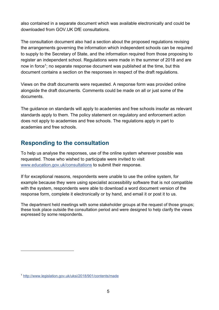also contained in a separate document which was available electronically and could be downloaded from GOV.UK DfE consultations.

The consultation document also had a section about the proposed regulations revising the arrangements governing the information which independent schools can be required to supply to the Secretary of State, and the information required from those proposing to register an independent school. Regulations were made in the summer of 2018 and are now in force<sup>1</sup>; no separate response document was published at the time, but this document contains a section on the responses in respect of the draft regulations.

Views on the draft documents were requested. A response form was provided online alongside the draft documents. Comments could be made on all or just some of the documents.

The guidance on standards will apply to academies and free schools insofar as relevant standards apply to them. The policy statement on regulatory and enforcement action does not apply to academies and free schools. The regulations apply in part to academies and free schools.

## <span id="page-4-0"></span>**Responding to the consultation**

To help us analyse the responses, use of the online system wherever possible was requested. Those who wished to participate were invited to visit www.education.gov.uk/consultations to submit their response.

If for exceptional reasons, respondents were unable to use the online system, for example because they were using specialist accessibility software that is not compatible with the system, respondents were able to download a word document version of the response form, complete it electronically or by hand, and email it or post it to us.

The department held meetings with some stakeholder groups at the request of those groups; these took place outside the consultation period and were designed to help clarify the views expressed by some respondents.

 $\overline{a}$ 

<sup>1</sup> <http://www.legislation.gov.uk/uksi/2018/901/contents/made>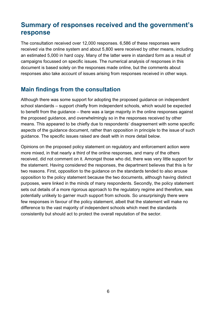# <span id="page-5-0"></span>**Summary of responses received and the government's response**

The consultation received over 12,000 responses. 6,586 of these responses were received via the online system and about 5,800 were received by other means, including an estimated 5,000 in hard copy. Many of the latter were in standard form as a result of campaigns focussed on specific issues. The numerical analysis of responses in this document is based solely on the responses made online, but the comments about responses also take account of issues arising from responses received in other ways.

## <span id="page-5-1"></span>**Main findings from the consultation**

Although there was some support for adopting the proposed guidance on independent school standards – support chiefly from independent schools, which would be expected to benefit from the guidance – there was a large majority in the online responses against the proposed guidance, and overwhelmingly so in the responses received by other means. This appeared to be chiefly due to respondents' disagreement with some specific aspects of the guidance document, rather than opposition in principle to the issue of such guidance. The specific issues raised are dealt with in more detail below.

Opinions on the proposed policy statement on regulatory and enforcement action were more mixed, in that nearly a third of the online responses, and many of the others received, did not comment on it. Amongst those who did, there was very little support for the statement. Having considered the responses, the department believes that this is for two reasons. First, opposition to the guidance on the standards tended to also arouse opposition to the policy statement because the two documents, although having distinct purposes, were linked in the minds of many respondents. Secondly, the policy statement sets out details of a more rigorous approach to the regulatory regime and therefore, was potentially unlikely to garner much support from schools. So unsurprisingly there were few responses in favour of the policy statement, albeit that the statement will make no difference to the vast majority of independent schools which meet the standards consistently but should act to protect the overall reputation of the sector.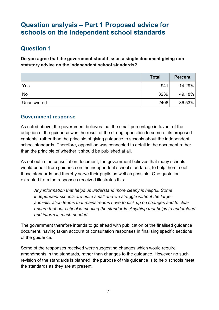# <span id="page-6-0"></span>**Question analysis – Part 1 Proposed advice for schools on the independent school standards**

## <span id="page-6-1"></span>**Question 1**

**Do you agree that the government should issue a single document giving nonstatutory advice on the independent school standards?**

|            | <b>Total</b> | <b>Percent</b> |
|------------|--------------|----------------|
| Yes        | 941          | 14.29%         |
| <b>No</b>  | 3239         | 49.18%         |
| Unanswered | 2406         | 36.53%         |

## <span id="page-6-2"></span>**Government response**

As noted above, the government believes that the small percentage in favour of the adoption of the guidance was the result of the strong opposition to some of its proposed contents, rather than the principle of giving guidance to schools about the independent school standards. Therefore, opposition was connected to detail in the document rather than the principle of whether it should be published at all.

As set out in the consultation document, the government believes that many schools would benefit from guidance on the independent school standards, to help them meet those standards and thereby serve their pupils as well as possible. One quotation extracted from the responses received illustrates this:

*Any information that helps us understand more clearly is helpful. Some independent schools are quite small and we struggle without the larger administration teams that mainstreams have to pick up on changes and to clear ensure that our school is meeting the standards. Anything that helps to understand and inform is much needed.* 

The government therefore intends to go ahead with publication of the finalised guidance document, having taken account of consultation responses in finalising specific sections of the guidance.

Some of the responses received were suggesting changes which would require amendments in the standards, rather than changes to the guidance. However no such revision of the standards is planned; the purpose of this guidance is to help schools meet the standards as they are at present.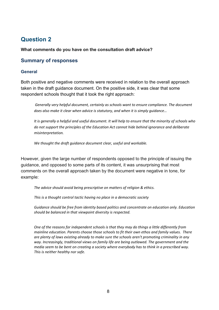## <span id="page-7-0"></span>**Question 2**

#### **What comments do you have on the consultation draft advice?**

## **Summary of responses**

#### **General**

Both positive and negative comments were received in relation to the overall approach taken in the draft guidance document. On the positive side, it was clear that some respondent schools thought that it took the right approach:

*Generally very helpful document, certainly as schools want to ensure compliance. The document does also make it clear when advice is statutory, and when it is simply guidance…*

*It is generally a helpful and useful document. It will help to ensure that the minority of schools who do not support the principles of the Education Act cannot hide behind ignorance and deliberate misinterpretation.* 

*We thought the draft guidance document clear, useful and workable.*

However, given the large number of respondents opposed to the principle of issuing the guidance, and opposed to some parts of its content, it was unsurprising that most comments on the overall approach taken by the document were negative in tone, for example:

*The advice should avoid being prescriptive on matters of religion & ethics.*

*This is a thought control tactic having no place in a democratic society*

*Guidance should be free from identity based politics and concentrate on education only. Education should be balanced in that viewpoint diversity is respected.*

*One of the reasons for independent schools is that they may do things a little differently from mainline education. Parents choose those schools to fit their own ethos and family values. There are plenty of laws existing already to make sure the schools aren't promoting criminality in any way. Increasingly, traditional views on family life are being outlawed. The government and the media seem to be bent on creating a society where everybody has to think in a prescribed way. This is neither healthy nor safe.*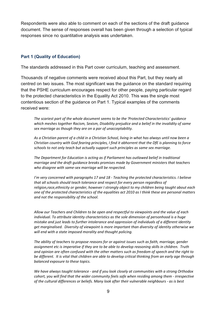Respondents were also able to comment on each of the sections of the draft guidance document. The sense of responses overall has been given through a selection of typical responses since no quantitative analysis was undertaken.

#### **Part 1 (Quality of Education)**

The standards addressed in this Part cover curriculum, teaching and assessment.

Thousands of negative comments were received about this Part, but they nearly all centred on two issues. The most significant was the guidance on the standard requiring that the PSHE curriculum encourages respect for other people, paying particular regard to the protected characteristics in the Equality Act 2010. This was the single most contentious section of the guidance on Part 1. Typical examples of the comments received were:

*The scariest part of the whole document seems to be the 'Protected Characteristics' guidance which meshes together Racism, Sexism, Disability prejudice and a belief in the invalidity of same sex marriage as though they are on a par of unacceptability.*

*As a Christian parent of a child in a Christian School, living in what has always until now been a Christian country with God fearing principles, I find it abhorrent that the DfE is planning to force schools to not only teach but actually support such principles as same sex marriage.*

*The Department for Education is acting as if Parliament has outlawed belief in traditional marriage and the draft guidance breaks promises made by Government ministers that teachers who disagree with same-sex marriage will be respected.*

*I'm very concerned with paragraphs 17 and 18 - Teaching the protected characteristics. I believe that all schools should teach tolerance and respect for every person regardless of religion,race,ethnicity or gender, however I strongly object to my children being taught about each one of the protected characteristics of the equalities act 2010 as I think these are personal matters and not the responsibility of the school.*

*Allow our Teachers and Children to be open and respectful to viewpoints and the value of each individual. To attribute identity characteristics as the sole dimension of personhood is a huge mistake and just leads to further intolerance and oppression of individuals of a different identity get marginalised. Diversity of viewpoint is more important than diversity of identity otherwise we will end with a state imposed morality and thought policing.*

*The ability of teachers to propose reasons for or against issues such as faith, marriage, gender assignment etc is imperative if they are to be able to develop reasoning skills in children. Truth and opinion are often confused with the other matters such as freedom of speech and the right to be different. It is vital that children are able to develop critical thinking from an early age through balanced exposure to these topics.*

*We have always taught tolerance - and if you look closely at communities with a strong Orthodox cohort, you will find that the wider community feels safe when residing among them - irrespective of the cultural differences or beliefs. Many look after their vulnerable neighbours - as is best*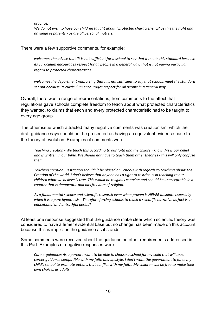*practice.* 

*We do not wish to have our children taught about ' protected characteristics' as this the right and privilege of parents - as are all personal matters.*

There were a few supportive comments, for example:

*welcomes the advice that 'it is not sufficient for a school to say that it meets this standard because its curriculum encourages respect for all people in a general way; that is not paying particular regard to protected characteristics* 

*welcomes the department reinforcing that it is not sufficient to say that schools meet the standard set out because its curriculum encourages respect for all people in a general way.*

Overall, there was a range of representations, from comments to the effect that regulations gave schools complete freedom to teach about what protected characteristics they wanted, to claims that each and every protected characteristic had to be taught to every age group.

The other issue which attracted many negative comments was creationism, which the draft guidance says should not be presented as having an equivalent evidence base to the theory of evolution. Examples of comments were:

*Teaching creation - We teach this according to our faith and the children know this is our belief and is written in our Bible. We should not have to teach them other theories - this will only confuse them.*

*Teaching creation: Restriction shouldn't be placed on Schools with regards to teaching about The Creation of the world. I don't believe that anyone has a right to restrict us in teaching to our children what we believe is true. This would be religious coercion and should be unacceptable in a country that is democratic and has freedom of religion.*

*As a fundamental science and scientific research even when proven is NEVER absolute especially when it is a pure hypothesis - Therefore forcing schools to teach a scientific narrative as fact is uneducational and untruthful period!*

At least one response suggested that the guidance make clear which scientific theory was considered to have a firmer evidential base but no change has been made on this account because this is implicit in the guidance as it stands.

Some comments were received about the guidance on other requirements addressed in this Part. Examples of negative responses were:

*Career guidance: As a parent I want to be able to choose a school for my child that will teach career guidance compatible with my faith and lifestyle. I don't want the government to force my child's school to promote options that conflict with my faith. My children will be free to make their own choices as adults.*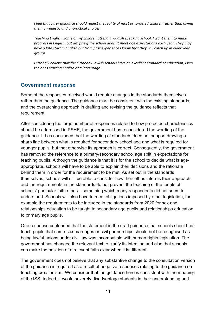*I feel that carer guidance should reflect the reality of most or targeted children rather than giving them unrealistic and unpractical choices.*

*Teaching English: Some of my children attend a Yiddish speaking school. I want them to make progress in English, but am fine if the school doesn't meet age expectations each year. They may have a late start in English but from past experience I know that they will catch up in older year groups.* 

*I strongly believe that the Orthodox Jewish schools have an excellent standard of education, Even the ones starting English at a later stage!*

## **Government response**

Some of the responses received would require changes in the standards themselves rather than the guidance. The guidance must be consistent with the existing standards, and the overarching approach in drafting and revising the guidance reflects that requirement.

After considering the large number of responses related to how protected characteristics should be addressed in PSHE, the government has reconsidered the wording of the guidance. It has concluded that the wording of standards does not support drawing a sharp line between what is required for secondary school age and what is required for younger pupils, but that otherwise its approach is correct. Consequently, the government has removed the reference to a primary/secondary school age split in expectations for teaching pupils. Although the guidance is that it is for the school to decide what is ageappropriate, schools will have to be able to explain their decisions and the rationale behind them in order for the requirement to be met. As set out in the standards themselves, schools will still be able to consider how their ethos informs their approach; and the requirements in the standards do not prevent the teaching of the tenets of schools' particular faith ethos – something which many respondents did not seem to understand. Schools will also have to meet obligations imposed by other legislation, for example the requirements to be included in the standards from 2020 for sex and relationships education to be taught to secondary age pupils and relationships education to primary age pupils.

One response contended that the statement in the draft guidance that schools should not teach pupils that same-sex marriages or civil partnerships should not be recognised as being lawful unions under civil law was incompatible with human rights legislation. The government has changed the relevant text to clarify its intention and also that schools can make the position of a relevant faith clear when it is different.

The government does not believe that any substantive change to the consultation version of the guidance is required as a result of negative responses relating to the guidance on teaching creationism. We consider that the guidance here is consistent with the meaning of the ISS. Indeed, it would severely disadvantage students in their understanding and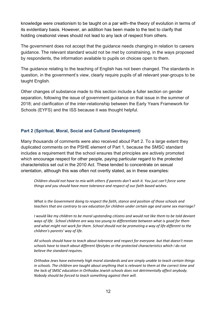knowledge were creationism to be taught on a par with–the theory of evolution in terms of its evidentiary basis. However, an addition has been made to the text to clarify that holding creationist views should not lead to any lack of respect from others.

The government does not accept that the guidance needs changing in relation to careers guidance. The relevant standard would not be met by constraining, in the ways proposed by respondents, the information available to pupils on choices open to them.

The guidance relating to the teaching of English has not been changed. The standards in question, in the government's view, clearly require pupils of all relevant year-groups to be taught English.

Other changes of substance made to this section include a fuller section on gender separation, following the issue of government guidance on that issue in the summer of 2018; and clarification of the inter-relationship between the Early Years Framework for Schools (EYFS) and the ISS because it was thought helpful.

#### **Part 2 (Spiritual, Moral, Social and Cultural Development)**

Many thousands of comments were also received about Part 2. To a large extent they duplicated comments on the PSHE element of Part 1, because the SMSC standard includes a requirement that the school ensures that principles are actively promoted which encourage respect for other people, paying particular regard to the protected characteristics set out in the 2010 Act. These tended to concentrate on sexual orientation, although this was often not overtly stated, as in these examples:

*Children should not have to mix with others if parents don't wish it. You just can't force some things and you should have more tolerance and respect of our faith based wishes.*

*What is the Government doing to respect the faith, stance and position of those schools and teachers that are contrary to sex education for children under certain age and same sex marriage?* 

*I would like my children to be moral upstanding citizens and would not like them to be told deviant ways of life. School children are way too young to differentiate between what is good for them and what might not work for them. School should not be promoting a way of life different to the children's parents' way of life.* 

*All schools should have to teach about tolerance and respect for everyone. but that doesn't mean schools have to teach about different lifestyles or the protected characteristics which i do not believe the standard requires.*

*Orthodox Jews have extremely high moral standards and are simply unable to teach certain things in schools. The children are taught about anything that is relevant to them at the correct time and the lack of SMSC education in Orthodox Jewish schools does not detrimentally affect anybody. Nobody should be forced to teach something against their will.*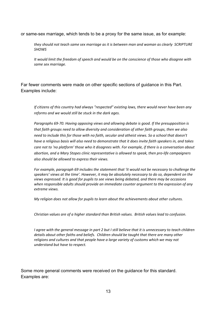or same-sex marriage, which tends to be a proxy for the same issue, as for example:

*they should not teach same sex marriage as it is between man and woman as clearly SCRIPTURE SHOWS*

*It would limit the freedom of speech and would be on the conscience of those who disagree with same sex marriage.*

Far fewer comments were made on other specific sections of guidance in this Part. Examples include:

*If citizens of this country had always "respected" existing laws, there would never have been any reforms and we would still be stuck in the dark ages.*

*Paragraphs 69-70. Having opposing views and allowing debate is good. If the presupposition is that faith groups need to allow diversity and consideration of other faith groups, then we also need to include this for those with no faith, secular and atheist views. So a school that doesn't have a religious basis will also need to demonstrate that it does invite faith speakers in, and takes care not to 'no platform' those who it disagrees with. For example, if there is a conversation about abortion, and a Mary Stopes clinic representative is allowed to speak, then pro-life campaigners also should be allowed to express their views.*

*For example, paragraph 69 includes the statement that 'it would not be necessary to challenge the speakers' views at the time'. However, it may be absolutely necessary to do so, dependent on the views expressed. It is good for pupils to see views being debated, and there may be occasions when responsible adults should provide an immediate counter argument to the expression of any extreme views.*

*My religion does not allow for pupils to learn about the achievements about other cultures.*

*Christian values are of a higher standard than British values. British values lead to confusion.* 

*I agree with the general message in part 2 but I still believe that it is unnecessary to teach children details about other faiths and beliefs. Children should be taught that there are many other religions and cultures and that people have a large variety of customs which we may not understand but have to respect.*

Some more general comments were received on the guidance for this standard. Examples are: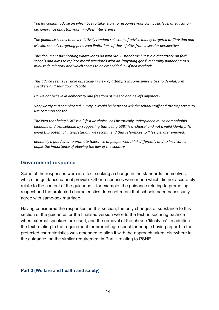*You lot couldnt advise on which bus to take, start to recognise your own basic level of education, i.e. ignorance and stop your mindless interference.*

*The guidance seems to be a relatively random selection of advice mainly targeted at Christian and Muslim schools targeting perceived limitations of those faiths from a secular perspective.*

*This document has nothing whatever to do with SMSC standards but is a direct attack on faith schools and aims to replace moral standards with an "anything goes" mentality pandering to a minuscule minority and which seems to be embedded in Ofsted methods.* 

*This advice seems sensible especially in view of attempts in some universities to de-platform speakers and shut down debate.*

*Do we not believe in democracy and freedom of speech and beliefs anymore?* 

*Very wordy and complicated. Surely it would be better to ask the school staff and the inspectors to use common sense?* 

*The idea that being LGBT is a 'lifestyle choice' has historically underpinned much homophobia, biphobia and transphobia by suggesting that being LGBT is a 'choice' and not a valid identity. To avoid this potential interpretation, we recommend that references to 'lifestyle' are removed.* 

*definitely a good idea to promote tolerance of people who think differently and to inculcate in pupils the importance of obeying the law of the country*

#### **Government response**

Some of the responses were in effect seeking a change in the standards themselves, which the guidance cannot provide. Other responses were made which did not accurately relate to the content of the guidance – for example, the guidance relating to promoting respect and the protected characteristics does not mean that schools need necessarily agree with same-sex marriage.

Having considered the responses on this section, the only changes of substance to this section of the guidance for the finalised version were to the text on securing balance when external speakers are used, and the removal of the phrase 'lifestyles'. In addition the text relating to the requirement for promoting respect for people having regard to the protected characteristics was amended to align it with the approach taken, elsewhere in the guidance, on the similar requirement in Part 1 relating to PSHE.

#### **Part 3 (Welfare and health and safety)**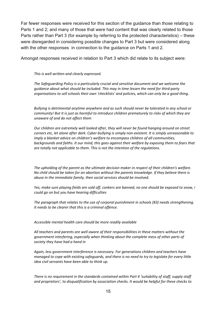Far fewer responses were received for this section of the guidance than those relating to Parts 1 and 2; and many of those that were had content that was clearly related to those Parts rather than Part 3 (for example by referring to the protected characteristics) – these were disregarded in considering possible changes to Part 3 but were considered along with the other responses in connection to the guidance on Parts 1 and 2.

Amongst responses received in relation to Part 3 which did relate to its subject were:

*This is well written and clearly expressed.*

*The Safeguarding Policy is a particularly crucial and sensitive document and we welcome the guidance about what should be included. This may in time lessen the need for third-party organisations to sell schools their own 'checklists' and policies, which can only be a good thing.*

*Bullying is detrimental anytime anywhere and as such should never be tolerated in any school or community! But it is just as harmful to introduce children prematurely to risks of which they are unaware of and do not affect them*

*Our children are extremely well looked after, they will never be found hanging around on street corners etc, let alone after dark. Cyber-bullying is simply non-existent. It is simply unreasonable to imply a blanket advice on children's welfare to encompass children of all communities, backgrounds and faiths. It our mind, this goes against their welfare by exposing them to fears that are totally not applicable to them. This is not the intention of the regulations.*

*The upholding of the parent as the ultimate decision maker in respect of their children's welfare. No child should be taken for an abortion without the parents knowledge. If they believe there is abuse in the immediate family, then social services should be involved.*

*Yes, make sure playing fields are sold off, conkers are banned, no one should be exposed to snow, i could go on but you have hearing difficulties*

*The paragraph that relates to the use of corporal punishment in schools (83) needs strengthening. It needs to be clearer that this is a criminal offence.*

*Accessible mental health care should be more readily available* 

*All teachers and parents are well aware of their responsibilities in these matters without the government interfering, especially when thinking about the complete mess of other parts of society they have had a hand in*

*Again, less government interference is necessary. For generations children and teachers have managed to cope with existing safeguards, and there is no need to try to legislate for every little idea civil servants have been able to think up.*

*There is no requirement in the standards contained within Part 4 'suitability of staff, supply staff and proprietors', to disqualification by association checks. It would be helpful for these checks to*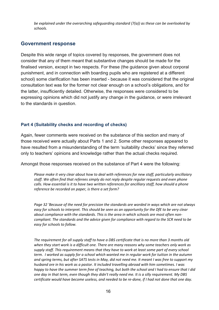*be explained under the overarching safeguarding standard (7(a)) as these can be overlooked by schools.*

## **Government response**

Despite this wide range of topics covered by responses, the government does not consider that any of them meant that substantive changes should be made for the finalised version, except in two respects. For these (the guidance given about corporal punishment, and in connection with boarding pupils who are registered at a different school) some clarification has been inserted - because it was considered that the original consultation text was for the former not clear enough on a school's obligations, and for the latter, insufficiently detailed. Otherwise, the responses were considered to be expressing opinions which did not justify any change in the guidance, or were irrelevant to the standards in question.

#### **Part 4 (Suitability checks and recording of checks)**

Again, fewer comments were received on the substance of this section and many of those received were actually about Parts 1 and 2. Some other responses appeared to have resulted from a misunderstanding of the term 'suitability checks' since they referred only to teachers' opinions and knowledge rather than the actual checks required.

Amongst those responses received on the substance of Part 4 were the following:

*Please make it very clear about how to deal with references for new staff, particularly ancillaiary staff. We often find that referees simply do not reply despite regular requests and even phone calls. How essential is it to have two written references for ancilliary staff, how should a phone reference be recorded on paper, is there a set form?*

*Page 32 'Because of the need for precision the standards are worded in ways which are not always easy for schools to interpret. This should be seen as an opportunity for the DfE to be very clear about compliance with the standards. This is the area in which schools are most often noncompliant. The standards and the advice given for compliance with regard to the SCR need to be easy for schools to follow.* 

*The requirement for all supply staff to have a DBS certificate that is no more than 3 months old when they start work is a difficult one. There are many reasons why some teachers only work as supply staff. This requirement means that they have to work at least some part of every school term. I worked as supply for a school which wanted me in regular work for tuition in the autumn and spring terms, but after SATS tests in May, did not need me. It meant I was free to support my husband ore in his work as a pastor. It included travelling abroad with him sometimes. I was happy to have the summer term free of teaching, but both the school and I had to ensure that I did one day in that term, even though they didn't really need me. It is a silly requirement. My DBS certificate would have become useless, and needed to be re-done, if I had not done that one day.*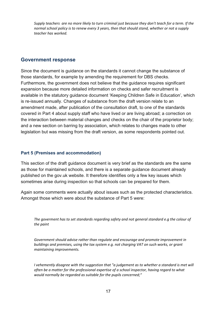*Supply teachers are no more likely to turn criminal just because they don't teach for a term. If the normal school policy is to renew every 3 years, then that should stand, whether or not a supply teacher has worked.*

#### **Government response**

Since the document is guidance on the standards it cannot change the substance of those standards, for example by amending the requirement for DBS checks. Furthermore, the government does not believe that the guidance requires significant expansion because more detailed information on checks and safer recruitment is available in the statutory guidance document 'Keeping Children Safe in Education', which is re-issued annually. Changes of substance from the draft version relate to an amendment made, after publication of the consultation draft, to one of the standards covered in Part 4 about supply staff who have lived or are living abroad; a correction on the interaction between material changes and checks on the chair of the proprietor body; and a new section on barring by association, which relates to changes made to other legislation but was missing from the draft version, as some respondents pointed out.

#### **Part 5 (Premises and accommodation)**

This section of the draft guidance document is very brief as the standards are the same as those for maintained schools, and there is a separate guidance document already published on the gov.uk website. It therefore identifies only a few key issues which sometimes arise during inspection so that schools can be prepared for them.

Again some comments were actually about issues such as the protected characteristics. Amongst those which were about the substance of Part 5 were:

*The goverment has to set standards regarding safety and not general standard e.g the colour of the paint*

*Government should advise rather than regulate and encourage and promote improvement in buildings and premises, using the tax system e.g. not charging VAT on such works, or grant maintaining improvements.*

*I* vehemently disagree with the suggestion that "a judgement as to whether a standard is met will *often be a matter for the professional expertise of a school inspector, having regard to what would normally be regarded as suitable for the pupils concerned;"*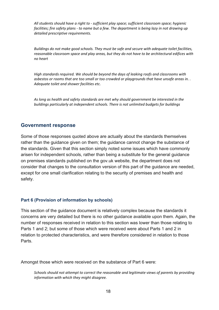*All students should have a right to - sufficient play space; sufficient classroom space; hygienic facilities; fire safety plans - to name but a few. The department is being lazy in not drawing up detailed prescriptive requirements.*

*Buildings do not make good schools. They must be safe and secure with adequate toilet facilities, reasonable classroom space and play areas, but they do not have to be architectural edifices with no heart*

*High standards required. We should be beyond the days of leaking roofs and classrooms with asbestos or rooms that are too small or too crowded or playgrounds that have unsafe areas in. . Adequate toilet and shower facilities etc.* 

*As long as health and safety standards are met why should government be interested in the buildings particularly at independent schools. There is not unlimited budgets for buildings* 

#### **Government response**

Some of those responses quoted above are actually about the standards themselves rather than the guidance given on them; the guidance cannot change the substance of the standards. Given that this section simply noted some issues which have commonly arisen for independent schools, rather than being a substitute for the general guidance on premises standards published on the gov.uk website, the department does not consider that changes to the consultation version of this part of the guidance are needed, except for one small clarification relating to the security of premises and health and safety.

#### **Part 6 (Provision of information by schools)**

This section of the guidance document is relatively complex because the standards it concerns are very detailed but there is no other guidance available upon them. Again, the number of responses received in relation to this section was lower than those relating to Parts 1 and 2; but some of those which were received were about Parts 1 and 2 in relation to protected characteristics, and were therefore considered in relation to those Parts.

Amongst those which were received on the substance of Part 6 were:

*Schools should not attempt to correct the reasonable and legitimate views of parents by providing information with which they might disagree.*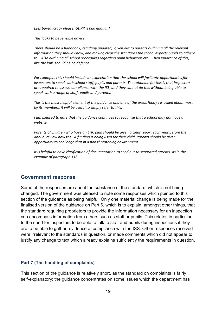*Less bureaucracy please. GDPR is bad enough!*

*This looks to be sensible advice.*

*There should be a handbook, regularly updated, given out to parents outlining all the relevant information they should know, and making clear the standards the school expects pupils to adhere to. Also outlining all school procedures regarding pupil behaviour etc. Then ignorance of this, like the law, should be no defence.*

*For example, this should include an expectation that the school will facilitate opportunities for inspectors to speak with school staff, pupils and parents. The rationale for this is that inspectors are required to assess compliance with the ISS, and they cannot do this without being able to speak with a range of staff, pupils and parents.*

*This is the most helpful element of the guidance and one of the areas [body ] is asked about most by its members. it will be useful to simply refer to this.*

*I am pleased to note that the quidance continues to recognise that a school may not have a website.*

*Parents of children who have an EHC plan should be given a clear report each year before the annual review how the LA funding is being used for their child. Parents should be given opportunity to challenge that in a non threatening environment.* 

*It is helpful to have clarification of documentation to send out to separated parents, as in the example of paragraph 118.* 

#### **Government response**

Some of the responses are about the substance of the standard, which is not being changed. The government was pleased to note some responses which pointed to this section of the guidance as being helpful. Only one material change is being made for the finalised version of the guidance on Part 6, which is to explain, amongst other things, that the standard requiring proprietors to provide the information necessary for an inspection can encompass information from others such as staff or pupils. This relates in particular to the need for inspectors to be able to talk to staff and pupils during inspections if they are to be able to gather evidence of compliance with the ISS. Other responses received were irrelevant to the standards in question, or made comments which did not appear to justify any change to text which already explains sufficiently the requirements in question.

#### **Part 7 (The handling of complaints)**

This section of the guidance is relatively short, as the standard on complaints is fairly self-explanatory: the guidance concentrates on some issues which the department has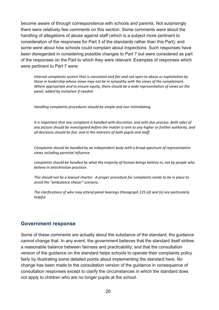become aware of through correspondence with schools and parents. Not surprisingly there were relatively few comments on this section. Some comments were about the handling of allegations of abuse against staff (which is a subject more pertinent to consideration of the responses for Part 3 of the standards rather than this Part); and some were about how schools could complain about inspections. Such responses have been disregarded in considering possible changes to Part 7 but were considered as part of the responses on the Part to which they were relevant. Examples of responses which were pertinent to Part 7 were:

*Internal complaints system that is consistent and fair and not open to abuse or exploitation by those in leadership whose views may not be in sympathy with the views of the complainant. Where appropriate and to ensure equity, there should be a wide representation of views on the panel, added by invitation if needed.*

*Handling complaints procedures should be simple and non intimidating.*

*It is important that any complaint is handled with discretion, and with due process. Both sides of any picture should be investigated before the matter is sent to any higher or further authority, and all decisions should be fair, and in the interests of both pupils and staff.*

*Complaints should be handled by an independent body with a broad spectrum of representative views including parental influence.*

*complaints should be handled by what the majority of human beings believe in, not by people who believe in antichristian practices*

*This should not be a lawsuit charter. A proper procedure for complaints needs to be in place to avoid the "ambulance chaser" scenario.*

*The clarifications of who may attend panel hearings (Paragraph 125 (d) and (e) are particularly helpful.* 

## **Government response**

Some of these comments are actually about the substance of the standard; the guidance cannot change that. In any event, the government believes that the standard itself strikes a reasonable balance between fairness and practicability; and that the consultation version of the guidance on the standard helps schools to operate their complaints policy fairly by illustrating some detailed points about implementing the standard here. No change has been made to the consultation version of the guidance in consequence of consultation responses except to clarify the circumstances in which the standard does not apply to children who are no longer pupils at the school.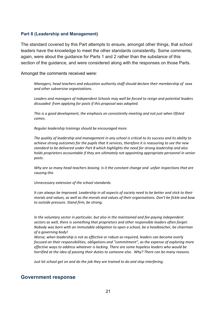#### **Part 8 (Leadership and Management)**

The standard covered by this Part attempts to ensure, amongst other things, that school leaders have the knowledge to meet the other standards consistently. Some comments, again, were about the guidance for Parts 1 and 2 rather than the substance of this section of the guidance, and were considered along with the responses on those Parts.

Amongst the comments received were:

*Managers, head teachers and education authority staff should declare their membership of xxxx and other subversive organisations.*

*Leaders and managers of Independent Schools may well be forced to resign and potential leaders dissuaded from applying for posts if this proposal was adopted.*

*This is a good development, the emphasis on consistently meeting and not just when Ofsted comes.*

*Regular leadership trainings should be encouraged more.*

*The quality of leadership and management in any school is critical to its success and its ability to achieve strong outcomes for the pupils that it services, therefore it is reassuring to see the new standard to be delivered under Part 8 which highlights the need for strong leadership and also holds proprietors accountable if they are ultimately not appointing appropriate personnel in senior posts.*

*Why are so many head teachers leaving. Is it the constant change and unfair inspections that are causing this*

*Unnecessary extension of the school standards.* 

*It can always be improved. Leadership in all aspects of society need to be better and stick to their morals and values, as well as the morals and values of their organisations. Don't be fickle and bow to outside pressure. Stand firm, be strong.*

*In the voluntary sector in particular, but also in the maintained and fee-paying independent sectors as well, there is something that proprietors and other responsible leaders often forget: Nobody was born with an immutable obligation to open a school, be a headteacher, be chairman of a governing body!*

*Worse, when leadership is not as effective or robust as required, leaders can become overly focused on their responsibilities, obligations and "commitment", as the expense of exploring more effective ways to address whatever is lacking. There are some hopeless leaders who would be horrified at the idea of passing their duties to someone else. Why? There can be many reasons.*

*Just let school get on and do the job they are trained to do and stop interfering.*

#### **Government response**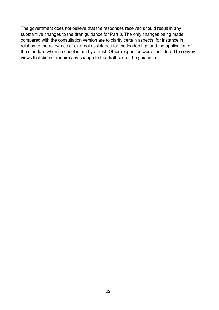The government does not believe that the responses received should result in any substantive changes to the draft guidance for Part 8. The only changes being made compared with the consultation version are to clarify certain aspects, for instance in relation to the relevance of external assistance for the leadership, and the application of the standard when a school is run by a trust. Other responses were considered to convey views that did not require any change to the draft text of the guidance.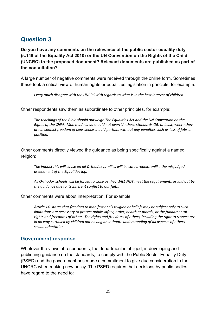## <span id="page-22-0"></span>**Question 3**

**Do you have any comments on the relevance of the public sector equality duty (s.149 of the Equality Act 2010) or the UN Convention on the Rights of the Child (UNCRC) to the proposed document? Relevant documents are published as part of the consultation?**

A large number of negative comments were received through the online form. Sometimes these took a critical view of human rights or equalities legislation in principle, for example:

*I very much disagree with the UNCRC with regards to what is in the best interest of children.*

Other respondents saw them as subordinate to other principles, for example:

*The teachings of the Bible should outweigh The Equalities Act and the UN Convention on the Rights of the Child. Man made laws should not override these standards OR, at least, where they are in conflict freedom of conscience should pertain, without any penalties such as loss of jobs or position.* 

Other comments directly viewed the guidance as being specifically against a named religion:

*The impact this will cause on all Orthodox families will be catastrophic, unlike the misjudged assessment of the Equalities log.*

*All Orthodox schools will be forced to close as they WILL NOT meet the requirements as laid out by the guidance due to its inherent conflict to our faith.*

Other comments were about interpretation. For example:

*Article 14 states that freedom to manifest one's religion or beliefs may be subject only to such limitations are necessary to protect public safety, order, health or morals, or the fundamental rights and freedoms of others. The rights and freedoms of others, including the right to respect are in no way curtailed by children not having an intimate understanding of all aspects of others sexual orientation.* 

## <span id="page-22-1"></span>**Government response**

Whatever the views of respondents, the department is obliged, in developing and publishing guidance on the standards, to comply with the Public Sector Equality Duty (PSED) and the government has made a commitment to give due consideration to the UNCRC when making new policy. The PSED requires that decisions by public bodies have regard to the need to: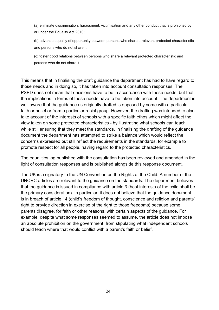(a) eliminate discrimination, harassment, victimisation and any other conduct that is prohibited by or under the Equality Act 2010;

(b) advance equality of opportunity between persons who share a relevant protected characteristic and persons who do not share it;

(c) foster good relations between persons who share a relevant protected characteristic and persons who do not share it.

This means that in finalising the draft guidance the department has had to have regard to those needs and in doing so, it has taken into account consultation responses. The PSED does not mean that decisions have to be in accordance with those needs, but that the implications in terms of those needs have to be taken into account. The department is well aware that the guidance as originally drafted is opposed by some with a particular faith or belief or from a particular racial group. However, the drafting was intended to also take account of the interests of schools with a specific faith ethos which might affect the view taken on some protected characteristics - by illustrating what schools can teach while still ensuring that they meet the standards. In finalising the drafting of the guidance document the department has attempted to strike a balance which would reflect the concerns expressed but still reflect the requirements in the standards, for example to promote respect for all people, having regard to the protected characteristics.

The equalities log published with the consultation has been reviewed and amended in the light of consultation responses and is published alongside this response document.

The UK is a signatory to the UN Convention on the Rights of the Child. A number of the UNCRC articles are relevant to the guidance on the standards. The department believes that the guidance is issued in compliance with article 3 (best interests of the child shall be the primary consideration). In particular, it does not believe that the guidance document is in breach of article 14 (child's freedom of thought, conscience and religion and parents' right to provide direction in exercise of the right to those freedoms) because some parents disagree, for faith or other reasons, with certain aspects of the guidance. For example, despite what some responses seemed to assume, the article does not impose an absolute prohibition on the government from stipulating what independent schools should teach where that would conflict with a parent's faith or belief.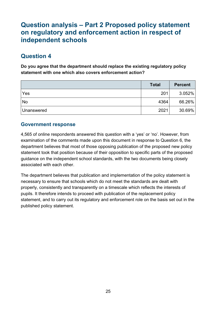# <span id="page-24-0"></span>**Question analysis – Part 2 Proposed policy statement on regulatory and enforcement action in respect of independent schools**

# <span id="page-24-1"></span>**Question 4**

**Do you agree that the department should replace the existing regulatory policy statement with one which also covers enforcement action?**

|            | <b>Total</b> | <b>Percent</b> |
|------------|--------------|----------------|
| Yes        | 201          | 3.052%         |
| No         | 4364         | 66.26%         |
| Unanswered | 2021         | 30.69%         |

## <span id="page-24-2"></span>**Government response**

4,565 of online respondents answered this question with a 'yes' or 'no'. However, from examination of the comments made upon this document in response to Question 6, the department believes that most of those opposing publication of the proposed new policy statement took that position because of their opposition to specific parts of the proposed guidance on the independent school standards, with the two documents being closely associated with each other.

The department believes that publication and implementation of the policy statement is necessary to ensure that schools which do not meet the standards are dealt with properly, consistently and transparently on a timescale which reflects the interests of pupils. It therefore intends to proceed with publication of the replacement policy statement, and to carry out its regulatory and enforcement role on the basis set out in the published policy statement.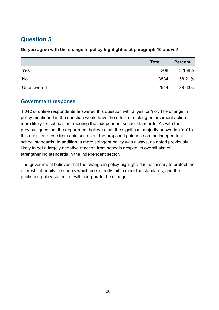# <span id="page-25-0"></span>**Question 5**

## **Do you agree with the change in policy highlighted at paragraph 10 above?**

|            | <b>Total</b> | <b>Percent</b> |
|------------|--------------|----------------|
| Yes        | 208          | 3.158%         |
| <b>No</b>  | 3834         | 58.21%         |
| Unanswered | 2544         | 38.63%         |

## <span id="page-25-1"></span>**Government response**

4,042 of online respondents answered this question with a 'yes' or 'no'. The change in policy mentioned in the question would have the effect of making enforcement action more likely for schools not meeting the independent school standards. As with the previous question, the department believes that the significant majority answering 'no' to this question arose from opinions about the proposed guidance on the independent school standards. In addition, a more stringent policy was always, as noted previously, likely to get a largely negative reaction from schools despite its overall aim of strengthening standards in the independent sector.

The government believes that the change in policy highlighted is necessary to protect the interests of pupils in schools which persistently fail to meet the standards, and the published policy statement will incorporate the change.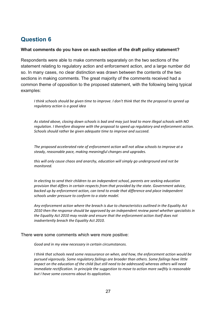## <span id="page-26-0"></span>**Question 6**

#### **What comments do you have on each section of the draft policy statement?**

Respondents were able to make comments separately on the two sections of the statement relating to regulatory action and enforcement action, and a large number did so. In many cases, no clear distinction was drawn between the contents of the two sections in making comments. The great majority of the comments received had a common theme of opposition to the proposed statement, with the following being typical examples:

*I think schools should be given time to improve. I don't think that the the proposal to spreed up regulatory action is a good idea*

*As stated above, closing down schools is bad and may just lead to more illegal schools with NO regulation. I therefore disagree with the proposal to speed up regulatory and enforcement action. Schools should rather be given adequate time to improve and succeed.*

*The proposed accelerated rate of enforcement action will not allow schools to improve at a steady, reasonable pace, making meaningful changes and upgrades.* 

*this will only cause chaos and anarchy, education will simply go underground and not be monitored.* 

*In electing to send their children to an independent school, parents are seeking education provision that differs in certain respects from that provided by the state. Government advice, backed up by enforcement action, can tend to erode that difference and place independent schools under pressure to conform to a state model.* 

*Any enforcement action where the breach is due to characteristics outlined in the Equality Act 2010 then the response should be approved by an independent review panel whether specialists in the Equality Act 2010 may reside and ensure that the enforcement action itself does not inadvertently breach the Equality Act 2010.* 

There were some comments which were more positive:

*Good and in my view necessary in certain circumstances.*

*I think that schools need some reassurance on when, and how, the enforcement action would be pursued vigorously. Some regulatory failings are broader than others. Some failings have little impact on the education of the child (but still need to be addressed) whereas others will need immediate rectification. In principle the suggestion to move to action more swiftly is reasonable but I have some concerns about its application.*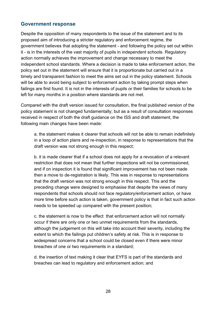## <span id="page-27-0"></span>**Government response**

Despite the opposition of many respondents to the issue of the statement and to its proposed aim of introducing a stricter regulatory and enforcement regime, the government believes that adopting the statement - and following the policy set out within it - is in the interests of the vast majority of pupils in independent schools. Regulatory action normally achieves the improvement and change necessary to meet the independent school standards. Where a decision is made to take enforcement action, the policy set out in the statement will ensure that it is proportionate but carried out in a timely and transparent fashion to meet the aims set out in the policy statement. Schools will be able to avoid being subject to enforcement action by taking prompt steps when failings are first found. It is not in the interests of pupils or their families for schools to be left for many months in a position where standards are not met.

Compared with the draft version issued for consultation, the final published version of the policy statement is not changed fundamentally; but as a result of consultation responses received in respect of both the draft guidance on the ISS and draft statement, the following main changes have been made:

a. the statement makes it clearer that schools will not be able to remain indefinitely in a loop of action plans and re-inspection, in response to representations that the draft version was not strong enough in this respect;

b. it is made clearer that if a school does not apply for a revocation of a relevant restriction that does not mean that further inspections will not be commissioned, and if on inspection it is found that significant improvement has not been made then a move to de-registration is likely. This was in response to representations that the draft version was not strong enough in this respect. This and the preceding change were designed to emphasise that despite the views of many respondents that schools should not face regulatory/enforcement action, or have more time before such action is taken, government policy is that in fact such action needs to be speeded up compared with the present position;

c. the statement is now to the effect that enforcement action will not normally occur if there are only one or two unmet requirements from the standards, although the judgement on this will take into account their severity, including the extent to which the failings put children's safety at risk. This is in response to widespread concerns that a school could be closed even if there were minor breaches of one or two requirements in a standard;

d. the insertion of text making it clear that EYFS is part of the standards and breaches can lead to regulatory and enforcement action; and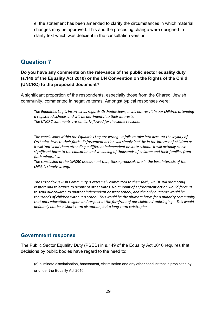e. the statement has been amended to clarify the circumstances in which material changes may be approved. This and the preceding change were designed to clarify text which was deficient in the consultation version.

## <span id="page-28-0"></span>**Question 7**

**Do you have any comments on the relevance of the public sector equality duty (s.149 of the Equality Act 2010) or the UN Convention on the Rights of the Child (UNCRC) to the proposed document?**

A significant proportion of the respondents, especially those from the Charedi Jewish community, commented in negative terms. Amongst typical responses were:

*The Equalities Log is incorrect as regards Orthodox Jews, it will not result in our children attending a registered schools and will be detrimental to their interests. The UNCRC comments are simliarly flawed for the same reasons.*

*The conclusions within the Equalities Log are wrong. It fails to take into account the loyalty of Orthodox Jews to their faith. Enforcement action will simply 'not' be in the interest of children as it will 'not' lead them attending a different independent or state school. It will actually cause significant harm to the education and wellbeing of thousands of children and their families from faith minorities.*

*The conclusion of the UNCRC assessment that, these proposals are in the best interests of the child, is simply wrong.*

*The Orthodox Jewish Community is extremely committed to their faith, whilst still promoting respect and tolerance to people of other faiths. No amount of enforcement action would force us to send our children to another independent or state school, and the only outcome would be thousands of children without a school. This would be the ultimate harm for a minority community that puts education, religion and respect at the forefront of our childrens' upbringing. This would definitely not be a 'short-term disruption, but a long-term catstrophe.*

## <span id="page-28-1"></span>**Government response**

The Public Sector Equality Duty (PSED) in s.149 of the Equality Act 2010 requires that decisions by public bodies have regard to the need to:

(a) eliminate discrimination, harassment, victimisation and any other conduct that is prohibited by or under the Equality Act 2010;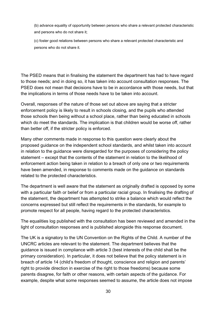(b) advance equality of opportunity between persons who share a relevant protected characteristic and persons who do not share it;

(c) foster good relations between persons who share a relevant protected characteristic and persons who do not share it.

The PSED means that in finalising the statement the department has had to have regard to those needs; and in doing so, it has taken into account consultation responses. The PSED does not mean that decisions have to be in accordance with those needs, but that the implications in terms of those needs have to be taken into account.

Overall, responses of the nature of those set out above are saying that a stricter enforcement policy is likely to result in schools closing, and the pupils who attended those schools then being without a school place, rather than being educated in schools which do meet the standards. The implication is that children would be worse off, rather than better off, if the stricter policy is enforced.

Many other comments made in response to this question were clearly about the proposed guidance on the independent school standards, and whilst taken into account in relation to the guidance were disregarded for the purposes of considering the policy statement – except that the contents of the statement in relation to the likelihood of enforcement action being taken in relation to a breach of only one or two requirements have been amended, in response to comments made on the guidance on standards related to the protected characteristics.

The department is well aware that the statement as originally drafted is opposed by some with a particular faith or belief or from a particular racial group. In finalising the drafting of the statement, the department has attempted to strike a balance which would reflect the concerns expressed but still reflect the requirements in the standards, for example to promote respect for all people, having regard to the protected characteristics.

The equalities log published with the consultation has been reviewed and amended in the light of consultation responses and is published alongside this response document.

The UK is a signatory to the UN Convention on the Rights of the Child. A number of the UNCRC articles are relevant to the statement. The department believes that the guidance is issued in compliance with article 3 (best interests of the child shall be the primary consideration). In particular, it does not believe that the policy statement is in breach of article 14 (child's freedom of thought, conscience and religion and parents' right to provide direction in exercise of the right to those freedoms) because some parents disagree, for faith or other reasons, with certain aspects of the guidance. For example, despite what some responses seemed to assume, the article does not impose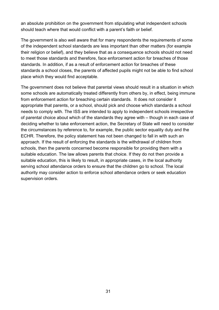an absolute prohibition on the government from stipulating what independent schools should teach where that would conflict with a parent's faith or belief.

The government is also well aware that for many respondents the requirements of some of the independent school standards are less important than other matters (for example their religion or belief), and they believe that as a consequence schools should not need to meet those standards and therefore, face enforcement action for breaches of those standards. In addition, if as a result of enforcement action for breaches of these standards a school closes, the parents of affected pupils might not be able to find school place which they would find acceptable.

The government does not believe that parental views should result in a situation in which some schools are automatically treated differently from others by, in effect, being immune from enforcement action for breaching certain standards. It does not consider it appropriate that parents, or a school, should pick and choose which standards a school needs to comply with. The ISS are intended to apply to independent schools irrespective of parental choice about which of the standards they agree with – though in each case of deciding whether to take enforcement action, the Secretary of State will need to consider the circumstances by reference to, for example, the public sector equality duty and the ECHR. Therefore, the policy statement has not been changed to fall in with such an approach. If the result of enforcing the standards is the withdrawal of children from schools, then the parents concerned become responsible for providing them with a suitable education. The law allows parents that choice. If they do not then provide a suitable education, this is likely to result, in appropriate cases, in the local authority serving school attendance orders to ensure that the children go to school. The local authority may consider action to enforce school attendance orders or seek education supervision orders.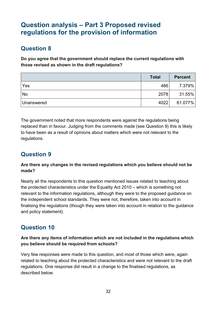# <span id="page-31-0"></span>**Question analysis – Part 3 Proposed revised regulations for the provision of information**

# <span id="page-31-1"></span>**Question 8**

**Do you agree that the government should replace the current regulations with those revised as shown in the draft regulations?**

|            | <b>Total</b> | <b>Percent</b> |
|------------|--------------|----------------|
| Yes        | 486          | 7.379%         |
| <b>No</b>  | 2078         | $31.55\%$      |
| Unanswered | 4022         | 61.077%        |

The government noted that more respondents were against the regulations being replaced than in favour. Judging from the comments made (see Question 9) this is likely to have been as a result of opinions about matters which were not relevant to the regulations.

# <span id="page-31-2"></span>**Question 9**

## **Are there any changes in the revised regulations which you believe should not be made?**

Nearly all the respondents to this question mentioned issues related to teaching about the protected characteristics under the Equality Act 2010 – which is something not relevant to the information regulations, although they were to the proposed guidance on the independent school standards. They were not, therefore, taken into account in finalising the regulations (though they were taken into account in relation to the guidance and policy statement).

# <span id="page-31-3"></span>**Question 10**

## **Are there any items of information which are not included in the regulations which you believe should be required from schools?**

Very few responses were made to this question, and most of those which were, again related to teaching about the protected characteristics and were not relevant to the draft regulations. One response did result in a change to the finalised regulations, as described below.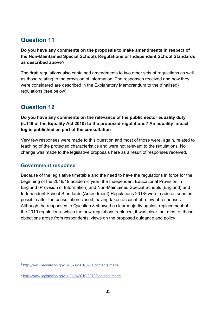# <span id="page-32-0"></span>**Question 11**

**Do you have any comments on the proposals to make amendments in respect of the Non-Maintained Special Schools Regulations or Independent School Standards as described above?**

The draft regulations also contained amendments to two other sets of regulations as well as those relating to the provision of information. The responses received and how they were considered are described in the Explanatory Memorandum to the (finalised) regulations (see below).

# <span id="page-32-1"></span>**Question 12**

**Do you have any comments on the relevance of the public sector equality duty (s.149 of the Equality Act 2010) to the proposed regulations? An equality impact log is published as part of the consultation**

Very few responses were made to this question and most of those were, again, related to teaching of the protected characteristics and were not relevant to the regulations. No change was made to the legislative proposals here as a result of responses received.

## <span id="page-32-2"></span>**Government response**

 $\overline{a}$ 

Because of the legislative timetable and the need to have the regulations in force for the beginning of the 2018/19 academic year, the Independent Educational Provision in England (Provision of Information) and Non-Maintained Special Schools (England) and Independent School Standards (Amendment) Regulations 20182 were made as soon as possible after the consultation closed, having taken account of relevant responses.. Although the responses to Question 8 showed a clear majority against replacement of the 2010 regulations<sup>3</sup> which the new regulations replaced, it was clear that most of these objections arose from respondents' views on the proposed guidance and policy

<sup>2</sup> <http://www.legislation.gov.uk/uksi/2018/901/contents/made>

<sup>3</sup> <http://www.legislation.gov.uk/uksi/2010/2919/contents/made>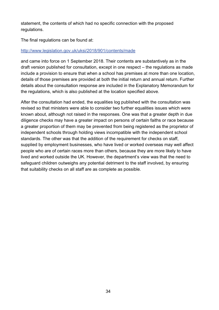statement, the contents of which had no specific connection with the proposed regulations.

The final regulations can be found at:

#### <http://www.legislation.gov.uk/uksi/2018/901/contents/made>

and came into force on 1 September 2018. Their contents are substantively as in the draft version published for consultation, except in one respect – the regulations as made include a provision to ensure that when a school has premises at more than one location, details of those premises are provided at both the initial return and annual return. Further details about the consultation response are included in the Explanatory Memorandum for the regulations, which is also published at the location specified above.

After the consultation had ended, the equalities log published with the consultation was revised so that ministers were able to consider two further equalities issues which were known about, although not raised in the responses. One was that a greater depth in due diligence checks may have a greater impact on persons of certain faiths or race because a greater proportion of them may be prevented from being registered as the proprietor of independent schools through holding views incompatible with the independent school standards. The other was that the addition of the requirement for checks on staff, supplied by employment businesses, who have lived or worked overseas may well affect people who are of certain races more than others, because they are more likely to have lived and worked outside the UK. However, the department's view was that the need to safeguard children outweighs any potential detriment to the staff involved, by ensuring that suitability checks on all staff are as complete as possible.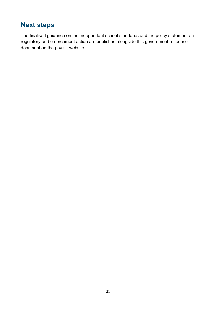# <span id="page-34-0"></span>**Next steps**

The finalised guidance on the independent school standards and the policy statement on regulatory and enforcement action are published alongside this government response document on the gov.uk website.